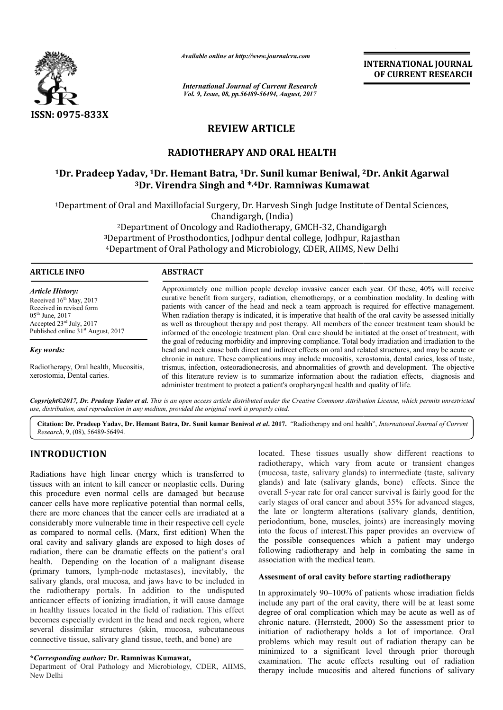

*Available online at http://www.journal http://www.journalcra.com*

*International Journal of Current Research Vol. 9, Issue, 08, pp.56489-56494, August, 2017*

**INTERNATIONAL JOURNAL OF CURRENT RESEARCH** 

# **REVIEW ARTICLE**

# **RADIOTHERAPY AND ORAL HEALTH**

# <sup>1</sup>Dr. Pradeep Yadav, <sup>1</sup>Dr. Hemant Batra, <sup>1</sup>Dr. Sunil kumar Beniwal, <sup>2</sup>Dr. Ankit Agarwal **3Dr. Virendra Singh and \* Dr. \*,4Dr. Ramniwas Kumawat Dr. Ramniwas Kumawat**

<sup>1</sup>Department of Oral and Maxillofacial Surgery, Dr. Harvesh Singh Judge Institute of Dental Sciences, Chandigargh, (India)

<sup>2</sup>Department of Oncology and Radiotherapy, GMCH-32, Chandigargh t of Oral and Maxillofacial Surgery, Dr. Harvesh Singh Judge Institute of Den<br>Chandigargh, (India)<br><sup>2</sup>Department of Oncology and Radiotherapy, GMCH-32, Chandigargh<br><sup>3</sup>Department of Prosthodontics, Jodhpur dental college, J <sup>4</sup>Department of Oral Pathology and Microbiology, CDER, AIIMS, New Delhi

# **ARTICLE INFO ABSTRACT**

*Article History:* Received 16<sup>th</sup> May, 2017 Received in revised form  $05<sup>th</sup>$  June, 2017 Accepted 23rd July, 2017 Published online  $31<sup>st</sup>$  August, 2017

*Key words:*

Radiotherapy, Oral health, Mucositis, xerostomia, Dental caries.

Approximately one million people develop invasive cancer each year. Of these, 40% will receive Approximately one million people develop invasive cancer each year. Of these, 40% will receive curative benefit from surgery, radiation, chemotherapy, or a combination modality. In dealing with patients with cancer of the head and neck a team approach is required for effective management. When radiation therapy is indicated, it is imperative that health of the oral cavity be assessed initially as well as throughout therapy and post therapy. All members of the cancer treatment team should be informed of the oncologic treatment plan. Oral care should be initiated at the onset of treatment, with the goal of reducing morbidity and improving compliance. Total body irradiation head and neck cause both direct and indirect effects on oral and related structures, and may be acute or chronic in nature. These complications may include mucositis, xerostomia, dental caries, loss of taste, head and neck cause both direct and indirect effects on oral and related structures, and may be acute or chronic in nature. These complications may include mucositis, xerostomia, dental caries, loss of taste, trismus, infe of this literature review is to summarize information about the radiation effects, diagnosis and administer treatment to protect a patient's oropharyngeal health and quality of life. patients with cancer of the head and neck a team approach is required for effective management.<br>When radiation therapy is indicated, it is imperative that health of the oral cavity be assessed initially<br>as well as througho

*Copyright©2017, Dr. Pradeep Yadav et al. This is an open access article distributed under the Creative Commons Att Attribution License, which ribution which permits unrestricted use, distribution, and reproduction in any medium, provided the original work is properly cited.*

Citation: Dr. Pradeep Yadav, Dr. Hemant Batra, Dr. Sunil kumar Beniwal et al. 2017. "Radiotherapy and oral health", *International Journal of Current Research*, 9, (08), 56489-56494.

# **INTRODUCTION**

Radiations have high linear energy which is transferred to tissues with an intent to kill cancer or neoplastic cells. During this procedure even normal cells are damaged but because cancer cells have more replicative potential than normal cells, there are more chances that the cancer cells are irradiated at a considerably more vulnerable time in their respective cell cycle as compared to normal cells. (Marx, first edition) When the oral cavity and salivary glands are exposed to high doses of radiation, there can be dramatic effects on the patient's oral health. Depending on the location of a malignant disease (primary tumors, lymph-node metastases), inevitably, the salivary glands, oral mucosa, and jaws have to be included in the radiotherapy portals. In addition to the undisputed anticancer effects of ionizing irradiation, it will cause damage in healthy tissues located in the field of radiation. This effect becomes especially evident in the head and neck region, where several dissimilar structures (skin, mucosa, subcutaneous connective tissue, salivary gland tissue, teeth, and bone) are

## **\****Corresponding author:* **Dr. Ramniwas Kumawat,**

Department of Oral Pathology and Microbiology, CDER, AIIMS, New Delhi

located. These tissues usually show different reactions to<br>
reacty which is transferred to (mucosa, taste, salivary glands) on itermediate (taste, salivary<br>
eer or neoplastic cells. During glands) and late (salivary glands radiotherapy, which vary from acute or transient changes (mucosa, taste, salivary glands) to intermediate (taste, salivary glands) and late (salivary glands, bone) effects. Since the overall 5-year rate for oral cancer survival is fairly good for the early stages of oral cancer and about 35% for advanced stages, the late or longterm alterations (salivary glands, dentition, radiotherapy, which vary from acute or transient changes (mucosa, taste, salivary glands) to intermediate (taste, salivary glands) and late (salivary glands, bone) effects. Since the overall 5-year rate for oral cancer sur into the focus of interest.This paper provides an overview of into the focus of interest. This paper provides an overview of the possible consequences which a patient may undergo following radiotherapy and help in combating the same in association with the medical team. **EXEREMATIONAL JOURNAL FORMAL CONTROVAL SCRIMERY (CONTROVAL TRISEFARCH CONTROVAL TRISE (CONTROVAL TRISE (CONTROVAL TRISE (CONTROVAL TRISE (CONTROVAL ALTER SURF) (FIGURE DID) (FIGURE DID) (FIGURE SURF) (https://industrial** 

#### Assesment of oral cavity before starting radiotherapy

In approximately 90–100% of patients whose irradiation fields include any part of the oral cavity, there will be at least some degree of oral complication which may be acute as well as of chronic nature. (Herrstedt, 2000) So the assessment prior to initiation of radiotherapy holds a lot of importance. Oral problems which may result out of radiation therapy can be minimized to a significant level through prior thorough examination. The acute effects resulting out of radiation therapy include mucositis and altered functions of salivary 90–100% of patients whose irradiation fields of the oral cavity, there will be at least some mplication which may be acute as well as of Herrstedt,  $2000$ ) So the assessment prior to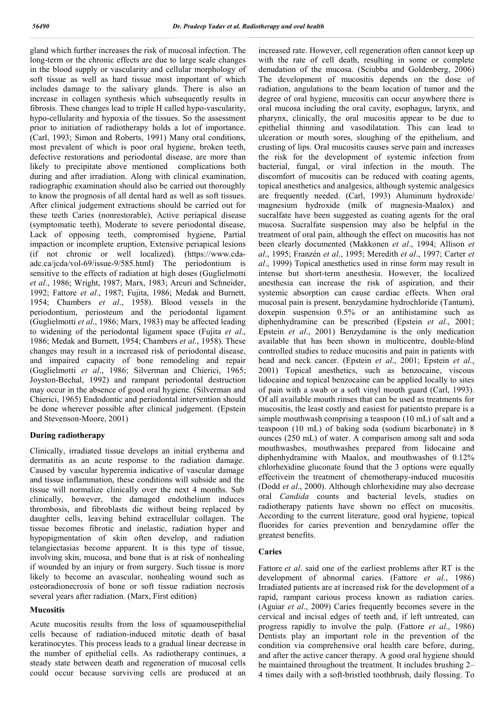gland which further increases the risk of mucosal infection. The long-term or the chronic effects are due to large scale changes in the blood supply or vascularity and cellular morphology of soft tissue as well as hard tissue most important of which includes damage to the salivary glands. There is also an increase in collagen synthesis which subsequently results in fibrosis. These changes lead to triple H called hypo-vascularity, hypo-cellularity and hypoxia of the tissues. So the assessment prior to initiation of radiotherapy holds a lot of importance. (Carl, 1993; Simon and Roberts, 1991) Many oral conditions, most prevalent of which is poor oral hygiene, broken teeth, defective restorations and periodontal disease, are more than likely to precipitate above mentioned complications both during and after irradiation. Along with clinical examination, radiographic examination should also be carried out thoroughly to know the prognosis of all dental hard as well as soft tissues. After clinical judgement extractions should be carried out for these teeth Caries (nonrestorable), Active periapical disease (symptomatic teeth), Moderate to severe periodontal disease, Lack of opposing teeth, compromised hygiene, Partial impaction or incomplete eruption, Extensive periapical lesions (if not chronic or well localized). (https://www.cdaadc.ca/jcda/vol-69/issue-9/585.html) The periodontium is sensitive to the effects of radiation at high doses (Guglielmotti *et al*., 1986; Wright, 1987; Marx, 1983; Arcuri and Schneider, 1992; Fattore *et al*., 1987; Fujita, 1986; Medak and Burnett, 1954; Chambers *et al*., 1958). Blood vessels in the periodontium, periosteum and the periodontal ligament (Guglielmotti *et al*., 1986; Marx, 1983) may be affected leading to widening of the periodontal ligament space (Fujita *et al*., 1986; Medak and Burnett, 1954; Chambers *et al*., 1958). These changes may result in a increased risk of periodontal disease, and impaired capacity of bone remodeling and repair (Guglielmotti *et al*., 1986; Silverman and Chierici, 1965; Joyston-Bechal, 1992) and rampant periodontal destruction may occur in the absence of good oral hygiene. (Silverman and Chierici, 1965) Endodontic and periodontal intervention should be done wherever possible after clinical judgement. (Epstein and Stevenson-Moore, 2001)

# **During radiotherapy**

Clinically, irradiated tissue develops an initial erythema and dermatitis as an acute response to the radiation damage. Caused by vascular hyperemia indicative of vascular damage and tissue inflammation, these conditions will subside and the tissue will normalize clinically over the next 4 months. Sub clinically, however, the damaged endothelium induces thrombosis, and fibroblasts die without being replaced by daughter cells, leaving behind extracellular collagen. The tissue becomes fibrotic and inelastic, radiation hyper and hypopigmentation of skin often develop, and radiation telangiectasias become apparent. It is this type of tissue, involving skin, mucosa, and bone that is at risk of nonhealing if wounded by an injury or from surgery. Such tissue is more likely to become an avascular, nonhealing wound such as osteoradionecrosis of bone or soft tissue radiation necrosis several years after radiation. (Marx, First edition)

#### **Mucositis**

Acute mucositis results from the loss of squamousepithelial cells because of radiation-induced mitotic death of basal keratinocytes. This process leads to a gradual linear decrease in the number of epithelial cells. As radiotherapy continues, a steady state between death and regeneration of mucosal cells could occur because surviving cells are produced at an

increased rate. However, cell regeneration often cannot keep up with the rate of cell death, resulting in some or complete denudation of the mucosa. (Sciubba and Goldenberg, 2006) The development of mucositis depends on the dose of radiation, angulations to the beam location of tumor and the degree of oral hygiene, mucositis can occur anywhere there is oral mucosa including the oral cavity, esophagus, larynx, and pharynx, clinically, the oral mucositis appear to be due to epithelial thinning and vasodilatation. This can lead to ulceration or mouth sores, sloughing of the epithelium, and crusting of lips. Oral mucositis causes serve pain and increases the risk for the development of systemic infection from bacterial, fungal, or viral infection in the mouth. The discomfort of mucositis can be reduced with coating agents, topical anesthetics and analgesics, although systemic analgesics are frequently needed. (Carl, 1993) Aluminum hydroxide/ magnesium hydroxide (milk of magnesia-Maalox) and sucralfate have been suggested as coating agents for the oral mucosa. Sucralfate suspension may also be helpful in the treatment of oral pain, although the effect on mucositis has not been clearly documented (Makkonen *et al*., 1994; Allison *et al*., 1995; Franzén *et al*., 1995; Meredith *et al*., 1997; Carter *et al*., 1999) Topical anesthetics used in rinse form may result in intense but short-term anesthesia. However, the localized anesthesia can increase the risk of aspiration, and their systemic absorption can cause cardiac effects. When oral mucosal pain is present, benzydamine hydrochloride (Tantum), doxepin suspension 0.5% or an antihistamine such as diphenhydramine can be prescribed (Epstein *et al*., 2001; Epstein *et al*., 2001) Benzydamine is the only medication available that has been shown in multicentre, double-blind controlled studies to reduce mucositis and pain in patients with head and neck cancer. (Epstein *et al*., 2001; Epstein *et al*., 2001) Topical anesthetics, such as benzocaine, viscous lidocaine and topical benzocaine can be applied locally to sites of pain with a swab or a soft vinyl mouth guard (Carl, 1993). Of all available mouth rinses that can be used as treatments for mucositis, the least costly and easiest for patientsto prepare is a simple mouthwash comprising a teaspoon (10 mL) of salt and a teaspoon (10 mL) of baking soda (sodium bicarbonate) in 8 ounces (250 mL) of water. A comparison among salt and soda mouthwashes, mouthwashes prepared from lidocaine and diphenhydramine with Maalox, and mouthwashes of 0.12% chlorhexidine gluconate found that the 3 options were equally effectivein the treatment of chemotherapy-induced mucositis (Dodd *et al*., 2000). Although chlorhexidine may also decrease oral *Candida* counts and bacterial levels, studies on radiotherapy patients have shown no effect on mucositis. According to the current literature, good oral hygiene, topical fluorides for caries prevention and benzydamine offer the greatest benefits.

#### **Caries**

Fattore *et al*. said one of the earliest problems after RT is the development of abnormal caries. (Fattore *et al*., 1986) Irradiated patients are at increased risk for the development of a rapid, rampant carious process known as radiation caries. (Aguiar *et al*., 2009) Caries frequently becomes severe in the cervical and incisal edges of teeth and, if left untreated, can progress rapidly to involve the pulp. (Fattore *et al*., 1986) Dentists play an important role in the prevention of the condition via comprehensive oral health care before, during, and after the active cancer therapy. A good oral hygiene should be maintained throughout the treatment. It includes brushing 2– 4 times daily with a soft-bristled toothbrush, daily flossing. To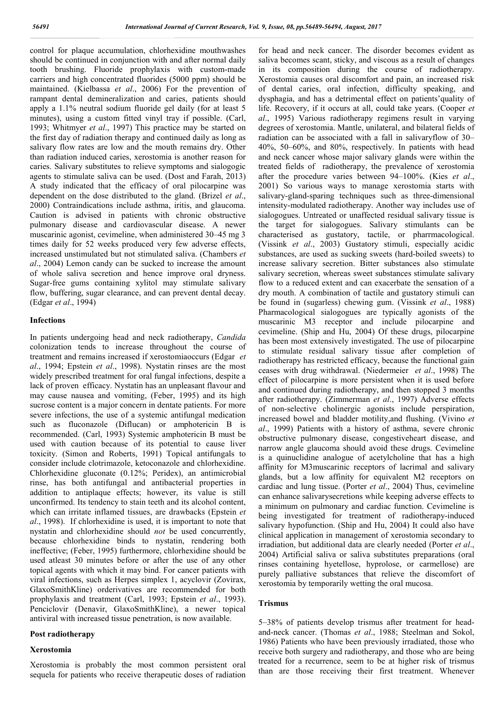control for plaque accumulation, chlorhexidine mouthwashes should be continued in conjunction with and after normal daily tooth brushing. Fluoride prophylaxis with custom-made carriers and high concentrated fluorides (5000 ppm) should be maintained. (Kielbassa *et al*., 2006) For the prevention of rampant dental demineralization and caries, patients should apply a 1.1% neutral sodium fluoride gel daily (for at least 5 minutes), using a custom fitted vinyl tray if possible. (Carl, 1993; Whitmyer *et al*., 1997) This practice may be started on the first day of radiation therapy and continued daily as long as salivary flow rates are low and the mouth remains dry. Other than radiation induced caries, xerostomia is another reason for caries. Salivary substitutes to relieve symptoms and sialogogic agents to stimulate saliva can be used. (Dost and Farah, 2013) A study indicated that the efficacy of oral pilocarpine was dependent on the dose distributed to the gland. (Brizel *et al*., 2000) Contraindications include asthma, iritis, and glaucoma. Caution is advised in patients with chronic obstructive pulmonary disease and cardiovascular disease. A newer muscarinic agonist, cevimeline, when administered 30–45 mg 3 times daily for 52 weeks produced very few adverse effects, increased unstimulated but not stimulated saliva. (Chambers *et al*., 2004) Lemon candy can be sucked to increase the amount of whole saliva secretion and hence improve oral dryness. Sugar-free gums containing xylitol may stimulate salivary flow, buffering, sugar clearance, and can prevent dental decay. (Edgar *et al*., 1994)

#### **Infections**

In patients undergoing head and neck radiotherapy, *Candida*  colonization tends to increase throughout the course of treatment and remains increased if xerostomiaoccurs (Edgar *et al*., 1994; Epstein *et al*., 1998). Nystatin rinses are the most widely prescribed treatment for oral fungal infections, despite a lack of proven efficacy. Nystatin has an unpleasant flavour and may cause nausea and vomiting, (Feber, 1995) and its high sucrose content is a major concern in dentate patients. For more severe infections, the use of a systemic antifungal medication such as fluconazole (Diflucan) or amphotericin B is recommended. (Carl, 1993) Systemic amphotericin B must be used with caution because of its potential to cause liver toxicity. (Simon and Roberts, 1991) Topical antifungals to consider include clotrimazole, ketoconazole and chlorhexidine. Chlorhexidine gluconate (0.12%; Peridex), an antimicrobial rinse, has both antifungal and antibacterial properties in addition to antiplaque effects; however, its value is still unconfirmed. Its tendency to stain teeth and its alcohol content, which can irritate inflamed tissues, are drawbacks (Epstein *et al*., 1998). If chlorhexidine is used, it is important to note that nystatin and chlorhexidine should *not* be used concurrently, because chlorhexidine binds to nystatin, rendering both ineffective; (Feber, 1995) furthermore, chlorhexidine should be used atleast 30 minutes before or after the use of any other topical agents with which it may bind. For cancer patients with viral infections, such as Herpes simplex 1, acyclovir (Zovirax, GlaxoSmithKline) orderivatives are recommended for both prophylaxis and treatment (Carl, 1993; Epstein *et al*., 1993). Penciclovir (Denavir, GlaxoSmithKline), a newer topical antiviral with increased tissue penetration, is now available.

### **Post radiotherapy**

#### **Xerostomia**

Xerostomia is probably the most common persistent oral sequela for patients who receive therapeutic doses of radiation for head and neck cancer. The disorder becomes evident as saliva becomes scant, sticky, and viscous as a result of changes in its composition during the course of radiotherapy. Xerostomia causes oral discomfort and pain, an increased risk of dental caries, oral infection, difficulty speaking, and dysphagia, and has a detrimental effect on patients'quality of life. Recovery, if it occurs at all, could take years. (Cooper *et al*., 1995) Various radiotherapy regimens result in varying degrees of xerostomia. Mantle, unilateral, and bilateral fields of radiation can be associated with a fall in salivaryflow of 30– 40%, 50–60%, and 80%, respectively. In patients with head and neck cancer whose major salivary glands were within the treated fields of radiotherapy, the prevalence of xerostomia after the procedure varies between 94–100%. (Kies *et al*., 2001) So various ways to manage xerostomia starts with salivary-gland-sparing techniques such as three-dimensional intensity-modulated radiotherapy. Another way includes use of sialogogues. Untreated or unaffected residual salivary tissue is the target for sialogogues. Salivary stimulants can be characterised as gustatory, tactile, or pharrmacological. (Vissink *et al*., 2003) Gustatory stimuli, especially acidic substances, are used as sucking sweets (hard-boiled sweets) to increase salivary secretion. Bitter substances also stimulate salivary secretion, whereas sweet substances stimulate salivary flow to a reduced extent and can exacerbate the sensation of a dry mouth. A combination of tactile and gustatory stimuli can be found in (sugarless) chewing gum. (Vissink *et al*., 1988) Pharmacological sialogogues are typically agonists of the muscarinic M3 receptor and include pilocarpine and cevimeline. (Ship and Hu, 2004) Of these drugs, pilocarpine has been most extensively investigated. The use of pilocarpine to stimulate residual salivary tissue after completion of radiotherapy has restricted efficacy, because the functional gain ceases with drug withdrawal. (Niedermeier *et al*., 1998) The effect of pilocarpine is more persistent when it is used before and continued during radiotherapy, and then stopped 3 months after radiotherapy. (Zimmerman *et al*., 1997) Adverse effects of non-selective cholinergic agonists include perspiration, increased bowel and bladder motility,and flushing. (Vivino *et al*., 1999) Patients with a history of asthma, severe chronic obstructive pulmonary disease, congestiveheart disease, and narrow angle glaucoma should avoid these drugs. Cevimeline is a quinuclidine analogue of acetylcholine that has a high affinity for M3muscarinic receptors of lacrimal and salivary glands, but a low affinity for equivalent M2 receptors on cardiac and lung tissue. (Porter *et al*., 2004) Thus, cevimeline can enhance salivarysecretions while keeping adverse effects to a minimum on pulmonary and cardiac function. Cevimeline is being investigated for treatment of radiotherapy-induced salivary hypofunction. (Ship and Hu, 2004) It could also have clinical application in management of xerostomia secondary to irradiation, but additional data are clearly needed (Porter *et al*., 2004) Artificial saliva or saliva substitutes preparations (oral rinses containing hyetellose, hyprolose, or carmellose) are purely palliative substances that relieve the discomfort of xerostomia by temporarily wetting the oral mucosa.

#### **Trismus**

5–38% of patients develop trismus after treatment for headand-neck cancer. (Thomas *et al*., 1988; Steelman and Sokol, 1986) Patients who have been previously irradiated, those who receive both surgery and radiotherapy, and those who are being treated for a recurrence, seem to be at higher risk of trismus than are those receiving their first treatment. Whenever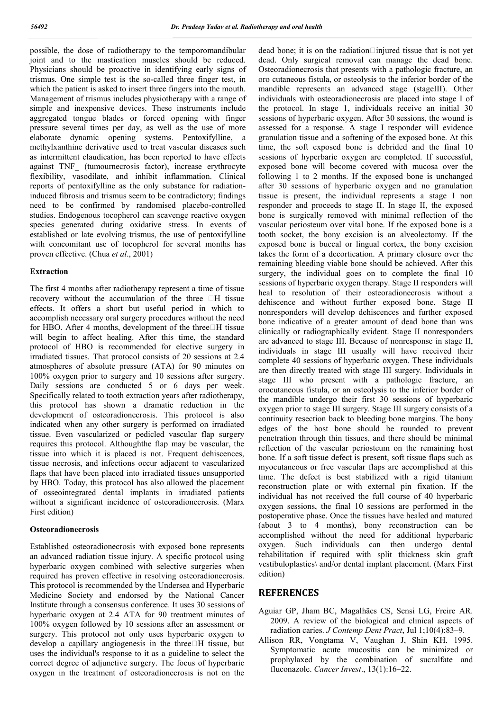possible, the dose of radiotherapy to the temporomandibular joint and to the mastication muscles should be reduced. Physicians should be proactive in identifying early signs of trismus. One simple test is the so-called three finger test, in which the patient is asked to insert three fingers into the mouth. Management of trismus includes physiotherapy with a range of simple and inexpensive devices. These instruments include aggregated tongue blades or forced opening with finger pressure several times per day, as well as the use of more elaborate dynamic opening systems. Pentoxifylline, a methylxanthine derivative used to treat vascular diseases such as intermittent claudication, has been reported to have effects against TNF\_ (tumournecrosis factor), increase erythrocyte flexibility, vasodilate, and inhibit inflammation. Clinical reports of pentoxifylline as the only substance for radiationinduced fibrosis and trismus seem to be contradictory; findings need to be confirmed by randomised placebo-controlled studies. Endogenous tocopherol can scavenge reactive oxygen species generated during oxidative stress. In events of established or late evolving trismus, the use of pentoxifylline with concomitant use of tocopherol for several months has proven effective. (Chua *et al*., 2001)

## **Extraction**

The first 4 months after radiotherapy represent a time of tissue recovery without the accumulation of the three  $\Box$  H tissue effects. It offers a short but useful period in which to accomplish necessary oral surgery procedures without the need for HBO. After 4 months, development of the three $\Box$ H tissue will begin to affect healing. After this time, the standard protocol of HBO is recommended for elective surgery in irradiated tissues. That protocol consists of 20 sessions at 2.4 atmospheres of absolute pressure (ATA) for 90 minutes on 100% oxygen prior to surgery and 10 sessions after surgery. Daily sessions are conducted 5 or 6 days per week. Specifically related to tooth extraction years after radiotherapy, this protocol has shown a dramatic reduction in the development of osteoradionecrosis. This protocol is also indicated when any other surgery is performed on irradiated tissue. Even vascularized or pedicled vascular flap surgery requires this protocol. Althoughthe flap may be vascular, the tissue into which it is placed is not. Frequent dehiscences, tissue necrosis, and infections occur adjacent to vascularized flaps that have been placed into irradiated tissues unsupported by HBO. Today, this protocol has also allowed the placement of osseointegrated dental implants in irradiated patients without a significant incidence of osteoradionecrosis. (Marx First edition)

### **Osteoradionecrosis**

Established osteoradionecrosis with exposed bone represents an advanced radiation tissue injury. A specific protocol using hyperbaric oxygen combined with selective surgeries when required has proven effective in resolving osteoradionecrosis. This protocol is recommended by the Undersea and Hyperbaric Medicine Society and endorsed by the National Cancer Institute through a consensus conference. It uses 30 sessions of hyperbaric oxygen at 2.4 ATA for 90 treatment minutes of 100% oxygen followed by 10 sessions after an assessment or surgery. This protocol not only uses hyperbaric oxygen to develop a capillary angiogenesis in the three $\Box$ H tissue, but uses the individual's response to it as a guideline to select the correct degree of adjunctive surgery. The focus of hyperbaric oxygen in the treatment of osteoradionecrosis is not on the

dead bone; it is on the radiation $\Box$ injured tissue that is not yet dead. Only surgical removal can manage the dead bone. Osteoradionecrosis that presents with a pathologic fracture, an oro cutaneous fistula, or osteolysis to the inferior border of the mandible represents an advanced stage (stageIII). Other individuals with osteoradionecrosis are placed into stage I of the protocol. In stage 1, individuals receive an initial 30 sessions of hyperbaric oxygen. After 30 sessions, the wound is assessed for a response. A stage I responder will evidence granulation tissue and a softening of the exposed bone. At this time, the soft exposed bone is debrided and the final 10 sessions of hyperbaric oxygen are completed. If successful, exposed bone will become covered with mucosa over the following 1 to 2 months. If the exposed bone is unchanged after 30 sessions of hyperbaric oxygen and no granulation tissue is present, the individual represents a stage I non responder and proceeds to stage II. In stage II, the exposed bone is surgically removed with minimal reflection of the vascular periosteum over vital bone. If the exposed bone is a tooth socket, the bony excision is an alveolectomy. If the exposed bone is buccal or lingual cortex, the bony excision takes the form of a decortication. A primary closure over the remaining bleeding viable bone should be achieved. After this surgery, the individual goes on to complete the final 10 sessions of hyperbaric oxygen therapy. Stage II responders will heal to resolution of their osteoradionecrosis without a dehiscence and without further exposed bone. Stage II nonresponders will develop dehiscences and further exposed bone indicative of a greater amount of dead bone than was clinically or radiographically evident. Stage II nonresponders are advanced to stage III. Because of nonresponse in stage II, individuals in stage III usually will have received their complete 40 sessions of hyperbaric oxygen. These individuals are then directly treated with stage III surgery. Individuals in stage III who present with a pathologic fracture, an orocutaneous fistula, or an osteolysis to the inferior border of the mandible undergo their first 30 sessions of hyperbaric oxygen prior to stage III surgery. Stage III surgery consists of a continuity resection back to bleeding bone margins. The bony edges of the host bone should be rounded to prevent penetration through thin tissues, and there should be minimal reflection of the vascular periosteum on the remaining host bone. If a soft tissue defect is present, soft tissue flaps such as myocutaneous or free vascular flaps are accomplished at this time. The defect is best stabilized with a rigid titanium reconstruction plate or with external pin fixation. If the individual has not received the full course of 40 hyperbaric oxygen sessions, the final 10 sessions are performed in the postoperative phase. Once the tissues have healed and matured (about 3 to 4 months), bony reconstruction can be accomplished without the need for additional hyperbaric oxygen. Such individuals can then undergo dental rehabilitation if required with split thickness skin graft vestibuloplasties\ and/or dental implant placement. (Marx First edition)

# **REFERENCES**

- Aguiar GP, Jham BC, Magalhães CS, Sensi LG, Freire AR. 2009. A review of the biological and clinical aspects of radiation caries. *J Contemp Dent Pract*, Jul 1;10(4):83–9.
- Allison RR, Vongtama V, Vaughan J, Shin KH. 1995. Symptomatic acute mucositis can be minimized or prophylaxed by the combination of sucralfate and fluconazole. *Cancer Invest*., 13(1):16–22.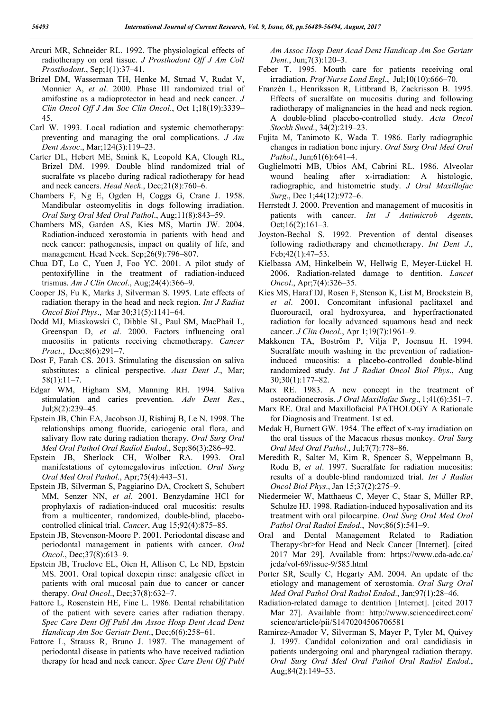- Arcuri MR, Schneider RL. 1992. The physiological effects of radiotherapy on oral tissue. *J Prosthodont Off J Am Coll Prosthodont*., Sep;1(1):37–41.
- Brizel DM, Wasserman TH, Henke M, Strnad V, Rudat V, Monnier A, *et al*. 2000. Phase III randomized trial of amifostine as a radioprotector in head and neck cancer. *J Clin Oncol Off J Am Soc Clin Oncol*., Oct 1;18(19):3339– 45.
- Carl W. 1993. Local radiation and systemic chemotherapy: preventing and managing the oral complications. *J Am Dent Assoc*., Mar;124(3):119–23.
- Carter DL, Hebert ME, Smink K, Leopold KA, Clough RL, Brizel DM. 1999. Double blind randomized trial of sucralfate vs placebo during radical radiotherapy for head and neck cancers. *Head Neck*., Dec;21(8):760–6.
- Chambers F, Ng E, Ogden H, Coggs G, Crane J. 1958. Mandibular osteomyelitis in dogs following irradiation. *Oral Surg Oral Med Oral Pathol*., Aug;11(8):843–59.
- Chambers MS, Garden AS, Kies MS, Martin JW. 2004. Radiation-induced xerostomia in patients with head and neck cancer: pathogenesis, impact on quality of life, and management. Head Neck. Sep;26(9):796–807.
- Chua DT, Lo C, Yuen J, Foo YC. 2001. A pilot study of pentoxifylline in the treatment of radiation-induced trismus. *Am J Clin Oncol*., Aug;24(4):366–9.
- Cooper JS, Fu K, Marks J, Silverman S. 1995. Late effects of radiation therapy in the head and neck region. *Int J Radiat Oncol Biol Phys*., Mar 30;31(5):1141–64.
- Dodd MJ, Miaskowski C, Dibble SL, Paul SM, MacPhail L, Greenspan D, *et al*. 2000. Factors influencing oral mucositis in patients receiving chemotherapy. *Cancer Pract*., Dec;8(6):291–7.
- Dost F, Farah CS. 2013. Stimulating the discussion on saliva substitutes: a clinical perspective. *Aust Dent J*., Mar; 58(1):11–7.
- Edgar WM, Higham SM, Manning RH. 1994. Saliva stimulation and caries prevention. *Adv Dent Res*., Jul;8(2):239–45.
- Epstein JB, Chin EA, Jacobson JJ, Rishiraj B, Le N. 1998. The relationships among fluoride, cariogenic oral flora, and salivary flow rate during radiation therapy. *Oral Surg Oral Med Oral Pathol Oral Radiol Endod*., Sep;86(3):286–92.
- Epstein JB, Sherlock CH, Wolber RA. 1993. Oral manifestations of cytomegalovirus infection. *Oral Surg Oral Med Oral Pathol*., Apr;75(4):443–51.
- Epstein JB, Silverman S, Paggiarino DA, Crockett S, Schubert MM, Senzer NN, *et al*. 2001. Benzydamine HCl for prophylaxis of radiation-induced oral mucositis: results from a multicenter, randomized, double-blind, placebocontrolled clinical trial. *Cancer*, Aug 15;92(4):875–85.
- Epstein JB, Stevenson-Moore P. 2001. Periodontal disease and periodontal management in patients with cancer. *Oral Oncol*., Dec;37(8):613–9.
- Epstein JB, Truelove EL, Oien H, Allison C, Le ND, Epstein MS. 2001. Oral topical doxepin rinse: analgesic effect in patients with oral mucosal pain due to cancer or cancer therapy. *Oral Oncol*., Dec;37(8):632–7.
- Fattore L, Rosenstein HE, Fine L. 1986. Dental rehabilitation of the patient with severe caries after radiation therapy. *Spec Care Dent Off Publ Am Assoc Hosp Dent Acad Dent Handicap Am Soc Geriatr Dent*., Dec;6(6):258–61.
- Fattore L, Strauss R, Bruno J. 1987. The management of periodontal disease in patients who have received radiation therapy for head and neck cancer. *Spec Care Dent Off Publ*

*Am Assoc Hosp Dent Acad Dent Handicap Am Soc Geriatr Dent*., Jun;7(3):120–3.

- Feber T. 1995. Mouth care for patients receiving oral irradiation. *Prof Nurse Lond Engl*., Jul;10(10):666–70.
- Franzén L, Henriksson R, Littbrand B, Zackrisson B. 1995. Effects of sucralfate on mucositis during and following radiotherapy of malignancies in the head and neck region. A double-blind placebo-controlled study. *Acta Oncol Stockh Swed*., 34(2):219–23.
- Fujita M, Tanimoto K, Wada T. 1986. Early radiographic changes in radiation bone injury. *Oral Surg Oral Med Oral Pathol*., Jun;61(6):641–4.
- Guglielmotti MB, Ubios AM, Cabrini RL. 1986. Alveolar wound healing after x-irradiation: A histologic, radiographic, and histometric study. *J Oral Maxillofac Surg*., Dec 1;44(12):972–6.
- Herrstedt J. 2000. Prevention and management of mucositis in patients with cancer. *Int J Antimicrob Agents*, Oct;16(2):161–3.
- Joyston-Bechal S. 1992. Prevention of dental diseases following radiotherapy and chemotherapy. *Int Dent J*., Feb;42(1):47–53.
- Kielbassa AM, Hinkelbein W, Hellwig E, Meyer-Lückel H. 2006. Radiation-related damage to dentition. *Lancet Oncol*., Apr;7(4):326–35.
- Kies MS, Haraf DJ, Rosen F, Stenson K, List M, Brockstein B, *et al*. 2001. Concomitant infusional paclitaxel and fluorouracil, oral hydroxyurea, and hyperfractionated radiation for locally advanced squamous head and neck cancer. *J Clin Oncol*., Apr 1;19(7):1961–9.
- Makkonen TA, Boström P, Vilja P, Joensuu H. 1994. Sucralfate mouth washing in the prevention of radiationinduced mucositis: a placebo-controlled double-blind randomized study. *Int J Radiat Oncol Biol Phys*., Aug 30;30(1):177–82.
- Marx RE. 1983. A new concept in the treatment of osteoradionecrosis. *J Oral Maxillofac Surg*., 1;41(6):351–7.
- Marx RE. Oral and Maxillofacial PATHOLOGY A Rationale for Diagnosis and Treatment. 1st ed.
- Medak H, Burnett GW. 1954. The effect of x-ray irradiation on the oral tissues of the Macacus rhesus monkey. *Oral Surg Oral Med Oral Pathol*., Jul;7(7):778–86.
- Meredith R, Salter M, Kim R, Spencer S, Weppelmann B, Rodu B, *et al*. 1997. Sucralfate for radiation mucositis: results of a double-blind randomized trial. *Int J Radiat Oncol Biol Phys*., Jan 15;37(2):275–9.
- Niedermeier W, Matthaeus C, Meyer C, Staar S, Müller RP, Schulze HJ. 1998. Radiation-induced hyposalivation and its treatment with oral pilocarpine. *Oral Surg Oral Med Oral Pathol Oral Radiol Endod*., Nov;86(5):541–9.
- Oral and Dental Management Related to Radiation Therapy<br>for Head and Neck Cancer [Internet]. [cited] 2017 Mar 29]. Available from: https://www.cda-adc.ca/ jcda/vol-69/issue-9/585.html
- Porter SR, Scully C, Hegarty AM. 2004. An update of the etiology and management of xerostomia. *Oral Surg Oral Med Oral Pathol Oral Radiol Endod*., Jan;97(1):28–46.
- Radiation-related damage to dentition [Internet]. [cited 2017 Mar 27]. Available from: http://www.sciencedirect.com/ science/article/pii/S1470204506706581
- Ramirez-Amador V, Silverman S, Mayer P, Tyler M, Quivey J. 1997. Candidal colonization and oral candidiasis in patients undergoing oral and pharyngeal radiation therapy. *Oral Surg Oral Med Oral Pathol Oral Radiol Endod*., Aug;84(2):149–53.